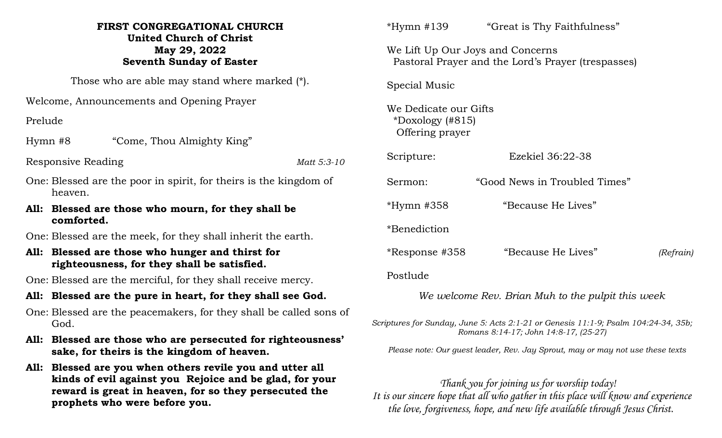## **FIRST CONGREGATIONAL CHURCH United Church of Christ May 29, 2022 Seventh Sunday of Easter**

Those who are able may stand where marked (\*).

Welcome, Announcements and Opening Prayer

Prelude

Hymn #8 "Come, Thou Almighty King"

Responsive Reading *Matt 5:3-10*

- One: Blessed are the poor in spirit, for theirs is the kingdom of heaven.
- **All: Blessed are those who mourn, for they shall be comforted.**
- One: Blessed are the meek, for they shall inherit the earth.
- **All: Blessed are those who hunger and thirst for righteousness, for they shall be satisfied.**

One: Blessed are the merciful, for they shall receive mercy.

- **All: Blessed are the pure in heart, for they shall see God.**
- One: Blessed are the peacemakers, for they shall be called sons of God.
- **All: Blessed are those who are persecuted for righteousness' sake, for theirs is the kingdom of heaven.**
- **All: Blessed are you when others revile you and utter all kinds of evil against you Rejoice and be glad, for your reward is great in heaven, for so they persecuted the prophets who were before you.**

| *Hymn #139                                                     | "Great is Thy Faithfulness"                                                            |           |
|----------------------------------------------------------------|----------------------------------------------------------------------------------------|-----------|
|                                                                | We Lift Up Our Joys and Concerns<br>Pastoral Prayer and the Lord's Prayer (trespasses) |           |
| Special Music                                                  |                                                                                        |           |
| We Dedicate our Gifts<br>*Doxology $(#815)$<br>Offering prayer |                                                                                        |           |
| Scripture:                                                     | Ezekiel 36:22-38                                                                       |           |
| Sermon:                                                        | "Good News in Troubled Times"                                                          |           |
| *Hymn #358                                                     | "Because He Lives"                                                                     |           |
| *Benediction                                                   |                                                                                        |           |
| *Response #358                                                 | "Because He Lives"                                                                     | (Refrain) |
| Postlude                                                       |                                                                                        |           |

*We welcome Rev. Brian Muh to the pulpit this week*

*Scriptures for Sunday, June 5: Acts 2:1-21 or Genesis 11:1-9; Psalm 104:24-34, 35b; Romans 8:14-17; John 14:8-17, (25-27)*

 *Please note: Our guest leader, Rev. Jay Sprout, may or may not use these texts*

 *Thank you for joining us for worship today! It is our sincere hope that all who gather in this place will know and experience the love, forgiveness, hope, and new life available through Jesus Christ.*